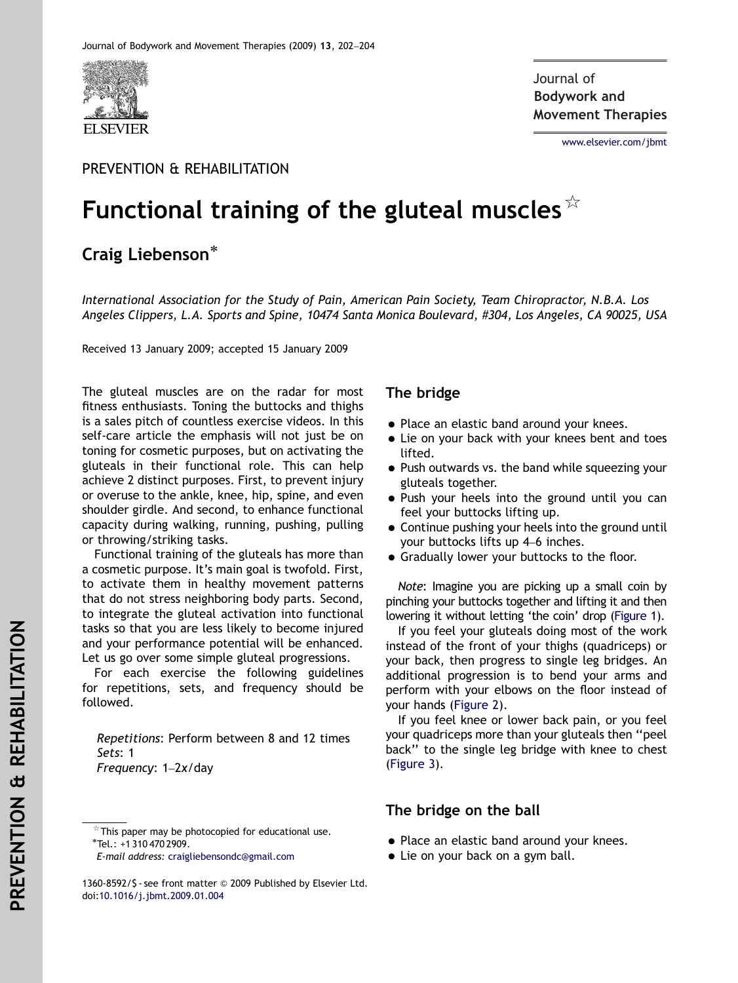

**Bodywork and** Journal of**Movement Therapies**

<www.elsevier.com/jbmt>

### PREVENTION & REHABILITATION

# Functional training of the gluteal muscles  $\frac{1}{x}$

## Craig Liebenson<sup>\*</sup>

International Association for the Study of Pain, American Pain Society, Team Chiropractor, N.B.A. Los Angeles Clippers, L.A. Sports and Spine, 10474 Santa Monica Boulevard, #304, Los Angeles, CA 90025, USA

Received 13 January 2009; accepted 15 January 2009

The gluteal muscles are on the radar for most fitness enthusiasts. Toning the buttocks and thighs is a sales pitch of countless exercise videos. In this self-care article the emphasis will not just be on toning for cosmetic purposes, but on activating the gluteals in their functional role. This can help achieve 2 distinct purposes. First, to prevent injury or overuse to the ankle, knee, hip, spine, and even shoulder girdle. And second, to enhance functional capacity during walking, running, pushing, pulling or throwing/striking tasks.

Functional training of the gluteals has more than a cosmetic purpose. It's main goal is twofold. First, to activate them in healthy movement patterns that do not stress neighboring body parts. Second, to integrate the gluteal activation into functional tasks so that you are less likely to become injured and your performance potential will be enhanced. Let us go over some simple gluteal progressions.

For each exercise the following guidelines for repetitions, sets, and frequency should be followed.

Repetitions: Perform between 8 and 12 times Sets: 1 Frequency: 1–2x/day

### The bridge

- Place an elastic band around your knees.
- Lie on your back with your knees bent and toes lifted.
- Push outwards vs. the band while squeezing your gluteals together.
- Push your heels into the ground until you can feel your buttocks lifting up.
- Continue pushing your heels into the ground until your buttocks lifts up 4–6 inches.
- Gradually lower your buttocks to the floor.

Note: Imagine you are picking up a small coin by pinching your buttocks together and lifting it and then lowering it without letting 'the coin' drop [\(Figure 1](#page-1-0)).

If you feel your gluteals doing most of the work instead of the front of your thighs (quadriceps) or your back, then progress to single leg bridges. An additional progression is to bend your arms and perform with your elbows on the floor instead of your hands ([Figure 2\)](#page-1-0).

If you feel knee or lower back pain, or you feel your quadriceps more than your gluteals then ''peel back'' to the single leg bridge with knee to chest [\(Figure 3](#page-1-0)).

#### The bridge on the ball

- Place an elastic band around your knees.
- Lie on your back on a gym ball.

 $*$ This paper may be photocopied for educational use. Tel.: +1 310 470 2909.

E-mail address: [craigliebensondc@gmail.com](mailto:craigliebensondc@gmail.com)

<sup>1360-8592/\$ -</sup> see front matter & 2009 Published by Elsevier Ltd. doi[:10.1016/j.jbmt.2009.01.004](dx.doi.org/10.1016/j.jbmt.2009.01.004)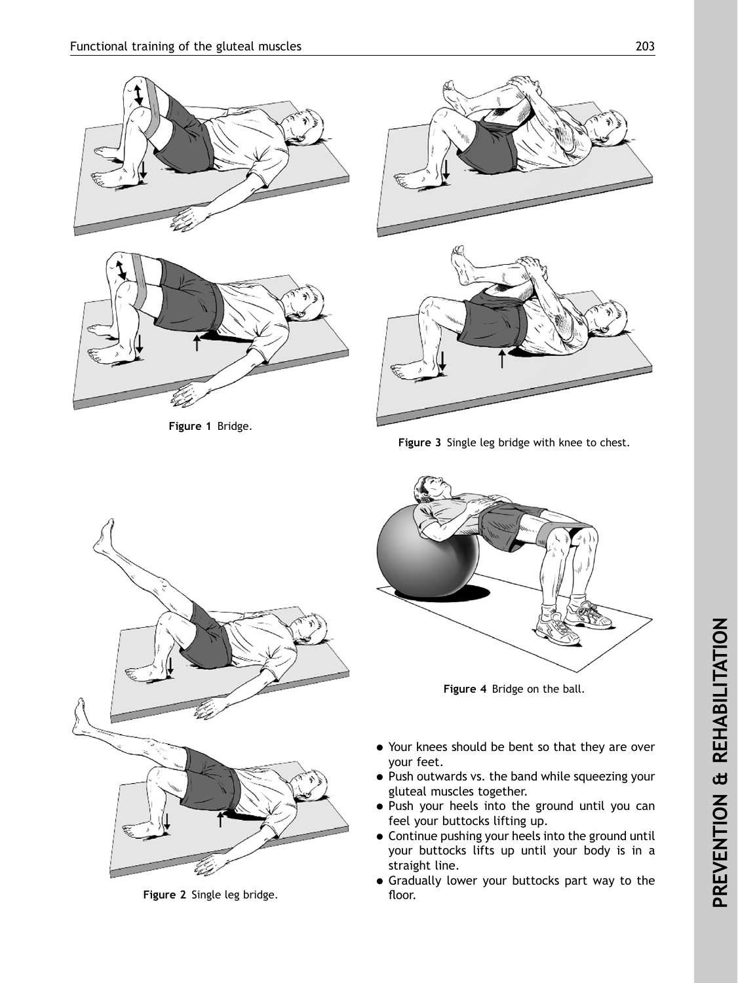<span id="page-1-0"></span>



Figure 1 Bridge.



Figure 3 Single leg bridge with knee to chest.



Figure 2 Single leg bridge.



Figure 4 Bridge on the ball.

- Your knees should be bent so that they are over your feet.
- Push outwards vs. the band while squeezing your gluteal muscles together.
- Push your heels into the ground until you can feel your buttocks lifting up.
- Continue pushing your heels into the ground until your buttocks lifts up until your body is in a straight line.
- Gradually lower your buttocks part way to the floor.